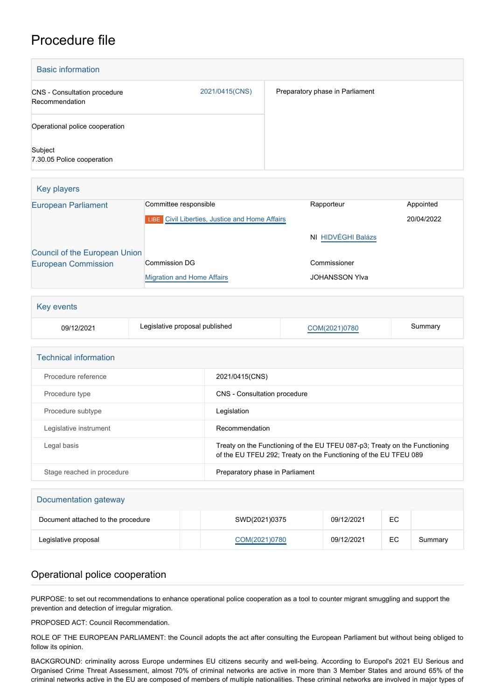## Procedure file

| <b>Basic information</b>                       |                |                                 |
|------------------------------------------------|----------------|---------------------------------|
| CNS - Consultation procedure<br>Recommendation | 2021/0415(CNS) | Preparatory phase in Parliament |
| Operational police cooperation                 |                |                                 |
| Subject<br>7.30.05 Police cooperation          |                |                                 |

| Key players                   |                                                       |                       |            |
|-------------------------------|-------------------------------------------------------|-----------------------|------------|
| <b>European Parliament</b>    | Committee responsible                                 | Rapporteur            | Appointed  |
|                               | <b>LIBE</b> Civil Liberties, Justice and Home Affairs |                       | 20/04/2022 |
|                               |                                                       | NI HIDVÉGHI Balázs    |            |
| Council of the European Union |                                                       |                       |            |
| <b>European Commission</b>    | <b>Commission DG</b>                                  | Commissioner          |            |
|                               | <b>Migration and Home Affairs</b>                     | <b>JOHANSSON YIva</b> |            |

| Key events |                                |               |         |  |
|------------|--------------------------------|---------------|---------|--|
| 09/12/2021 | Legislative proposal published | COM(2021)0780 | Summary |  |

| <b>Technical information</b> |                                                                                                                                                |
|------------------------------|------------------------------------------------------------------------------------------------------------------------------------------------|
| Procedure reference          | 2021/0415(CNS)                                                                                                                                 |
| Procedure type               | <b>CNS</b> - Consultation procedure                                                                                                            |
| Procedure subtype            | Legislation                                                                                                                                    |
| Legislative instrument       | Recommendation                                                                                                                                 |
| Legal basis                  | Treaty on the Functioning of the EU TFEU 087-p3; Treaty on the Functioning<br>of the EU TFEU 292; Treaty on the Functioning of the EU TFEU 089 |
| Stage reached in procedure   | Preparatory phase in Parliament                                                                                                                |

| Documentation gateway              |               |            |    |         |  |
|------------------------------------|---------------|------------|----|---------|--|
| Document attached to the procedure | SWD(2021)0375 | 09/12/2021 | EC |         |  |
| Legislative proposal               | COM(2021)0780 | 09/12/2021 | EC | Summary |  |

## Operational police cooperation

PURPOSE: to set out recommendations to enhance operational police cooperation as a tool to counter migrant smuggling and support the prevention and detection of irregular migration.

PROPOSED ACT: Council Recommendation.

ROLE OF THE EUROPEAN PARLIAMENT: the Council adopts the act after consulting the European Parliament but without being obliged to follow its opinion.

BACKGROUND: criminality across Europe undermines EU citizens security and well-being. According to Europol's 2021 EU Serious and Organised Crime Threat Assessment, almost 70% of criminal networks are active in more than 3 Member States and around 65% of the criminal networks active in the EU are composed of members of multiple nationalities. These criminal networks are involved in major types of